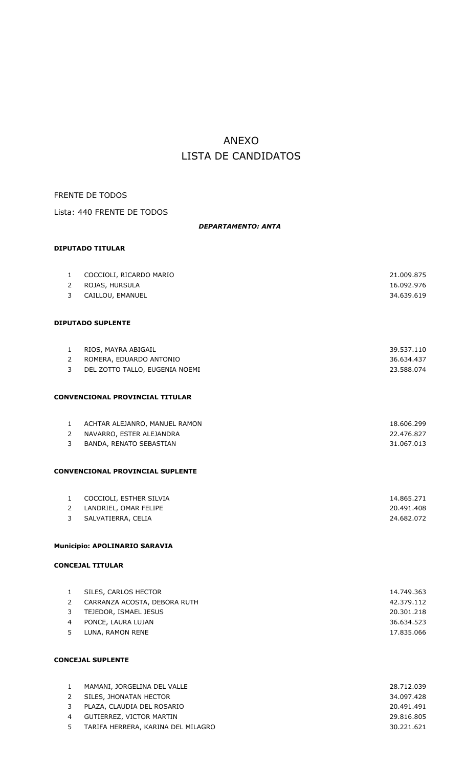# ANEXO LISTA DE CANDIDATOS

## FRENTE DE TODOS

Lista: 440 FRENTE DE TODOS

## *DEPARTAMENTO: ANTA*

## **DIPUTADO TITULAR**

| $\mathbf{1}$   | COCCIOLI, RICARDO MARIO                 | 21.009.875 |
|----------------|-----------------------------------------|------------|
| $\overline{2}$ | ROJAS, HURSULA                          | 16.092.976 |
| 3              | CAILLOU, EMANUEL                        | 34.639.619 |
|                |                                         |            |
|                | <b>DIPUTADO SUPLENTE</b>                |            |
| $\mathbf{1}$   | RIOS, MAYRA ABIGAIL                     | 39.537.110 |
| $\overline{2}$ | ROMERA, EDUARDO ANTONIO                 | 36.634.437 |
| 3              | DEL ZOTTO TALLO, EUGENIA NOEMI          | 23.588.074 |
|                |                                         |            |
|                | <b>CONVENCIONAL PROVINCIAL TITULAR</b>  |            |
|                |                                         |            |
| $\mathbf{1}$   | ACHTAR ALEJANRO, MANUEL RAMON           | 18.606.299 |
| $2^{\circ}$    | NAVARRO, ESTER ALEJANDRA                | 22.476.827 |
| 3              | BANDA, RENATO SEBASTIAN                 | 31.067.013 |
|                | <b>CONVENCIONAL PROVINCIAL SUPLENTE</b> |            |
| $\mathbf{1}$   | COCCIOLI, ESTHER SILVIA                 | 14.865.271 |
| $2^{\circ}$    | LANDRIEL, OMAR FELIPE                   | 20.491.408 |
| 3              | SALVATIERRA, CELIA                      | 24.682.072 |
|                | Municipio: APOLINARIO SARAVIA           |            |
|                |                                         |            |
|                | <b>CONCEJAL TITULAR</b>                 |            |
| $\mathbf{1}$   | SILES, CARLOS HECTOR                    | 14.749.363 |
| $\overline{2}$ | CARRANZA ACOSTA, DEBORA RUTH            | 42.379.112 |
| 3              | TEJEDOR, ISMAEL JESUS                   | 20.301.218 |
| $\overline{4}$ | PONCE, LAURA LUJAN                      | 36.634.523 |
| 5              | LUNA, RAMON RENE                        | 17.835.066 |
|                | <b>CONCEJAL SUPLENTE</b>                |            |
|                |                                         |            |

| $\mathbf{1}$ | MAMANI, JORGELINA DEL VALLE        | 28.712.039 |
|--------------|------------------------------------|------------|
| 2            | SILES, JHONATAN HECTOR             | 34.097.428 |
| 3            | PLAZA, CLAUDIA DEL ROSARIO         | 20.491.491 |
| 4            | GUTIERREZ, VICTOR MARTIN           | 29.816.805 |
| 5            | TARIFA HERRERA, KARINA DEL MILAGRO | 30.221.621 |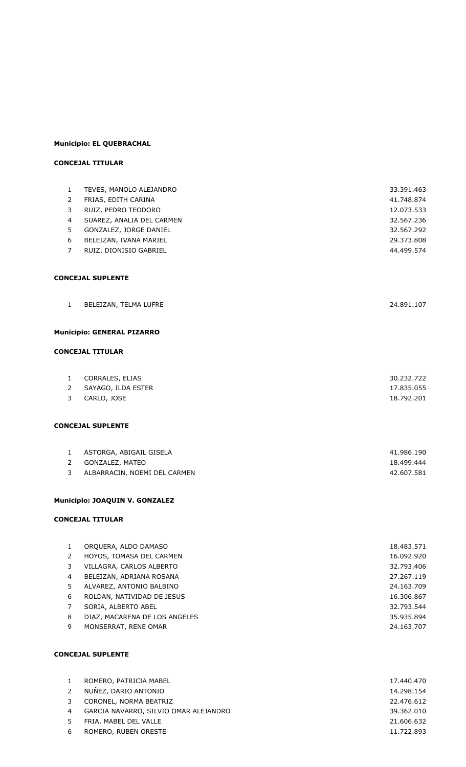### **Municipio: EL QUEBRACHAL**

## **CONCEJAL TITULAR**

| $\mathbf{1}$   | TEVES, MANOLO ALEJANDRO               | 33.391.463 |
|----------------|---------------------------------------|------------|
| 2              | FRIAS, EDITH CARINA                   | 41.748.874 |
| 3              | RUIZ, PEDRO TEODORO                   | 12.073.533 |
| 4              | SUAREZ, ANALIA DEL CARMEN             | 32.567.236 |
| 5              | GONZALEZ, JORGE DANIEL                | 32.567.292 |
| 6              | BELEIZAN, IVANA MARIEL                | 29.373.808 |
| $\overline{7}$ | RUIZ, DIONISIO GABRIEL                | 44.499.574 |
|                |                                       |            |
|                |                                       |            |
|                | <b>CONCEJAL SUPLENTE</b>              |            |
|                |                                       |            |
| $\mathbf{1}$   | BELEIZAN, TELMA LUFRE                 | 24.891.107 |
|                |                                       |            |
|                | <b>Municipio: GENERAL PIZARRO</b>     |            |
|                | <b>CONCEJAL TITULAR</b>               |            |
|                |                                       |            |
| 1              | CORRALES, ELIAS                       | 30.232.722 |
| $\overline{2}$ | SAYAGO, ILDA ESTER                    | 17.835.055 |
| 3              | CARLO, JOSE                           | 18.792.201 |
|                |                                       |            |
|                | <b>CONCEJAL SUPLENTE</b>              |            |
|                |                                       |            |
| $\mathbf{1}$   | ASTORGA, ABIGAIL GISELA               | 41.986.190 |
| $2^{\circ}$    | GONZALEZ, MATEO                       | 18.499.444 |
| 3              | ALBARRACIN, NOEMI DEL CARMEN          | 42.607.581 |
|                |                                       |            |
|                | <b>Municipio: JOAQUIN V. GONZALEZ</b> |            |
|                | <b>CONCEJAL TITULAR</b>               |            |
|                |                                       |            |
| $\mathbf{1}$   | ORQUERA, ALDO DAMASO                  | 18.483.571 |
| 2              | HOYOS, TOMASA DEL CARMEN              | 16.092.920 |
| 3              | VILLAGRA, CARLOS ALBERTO              | 32.793.406 |
| $\overline{4}$ | BELEIZAN, ADRIANA ROSANA              | 27.267.119 |

- ALVAREZ, ANTONIO BALBINO 24.163.709 6 ROLDAN, NATIVIDAD DE JESUS 16.306.867 SORIA, ALBERTO ABEL 32.793.544 8 DIAZ, MACARENA DE LOS ANGELES 35.935.894
- MONSERRAT, RENE OMAR 24.163.707

| $\mathbf{1}$ | ROMERO, PATRICIA MABEL                | 17.440.470 |
|--------------|---------------------------------------|------------|
| 2            | NUÑEZ, DARIO ANTONIO                  | 14.298.154 |
| 3            | CORONEL, NORMA BEATRIZ                | 22.476.612 |
| 4            | GARCIA NAVARRO, SILVIO OMAR ALEJANDRO | 39.362.010 |
| 5            | FRIA, MABEL DEL VALLE                 | 21.606.632 |
| -6           | ROMERO, RUBEN ORESTE                  | 11.722.893 |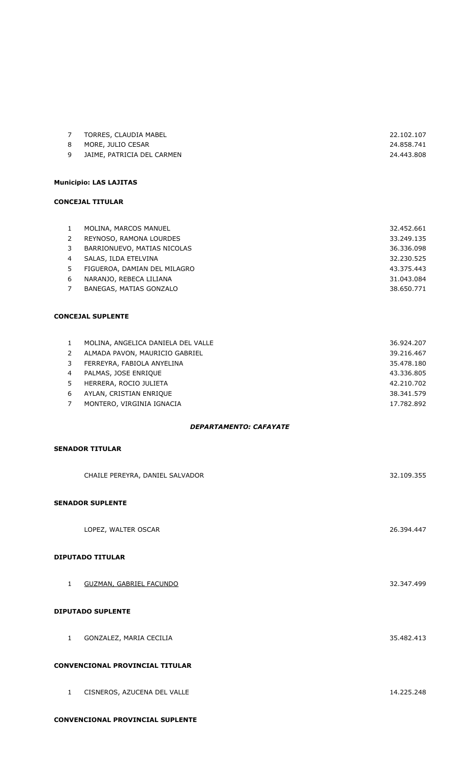|          | TORRES, CLAUDIA MABEL      | 22.102.107 |
|----------|----------------------------|------------|
|          | 8 MORE, JULIO CESAR        | 24.858.741 |
| <b>Q</b> | JAIME, PATRICIA DEL CARMEN | 24.443.808 |

## **Municipio: LAS LAJITAS**

#### **CONCEJAL TITULAR**

| 1. | MOLINA, MARCOS MANUEL        | 32.452.661 |
|----|------------------------------|------------|
| 2  | REYNOSO, RAMONA LOURDES      | 33.249.135 |
| 3  | BARRIONUEVO, MATIAS NICOLAS  | 36.336.098 |
| 4  | SALAS, ILDA ETELVINA         | 32.230.525 |
| 5  | FIGUEROA, DAMIAN DEL MILAGRO | 43.375.443 |
| 6  | NARANJO, REBECA LILIANA      | 31.043.084 |
|    | BANEGAS, MATIAS GONZALO      | 38.650.771 |

#### **CONCEJAL SUPLENTE**

|               | MOLINA, ANGELICA DANIELA DEL VALLE | 36.924.207 |
|---------------|------------------------------------|------------|
| $\mathcal{L}$ | ALMADA PAVON, MAURICIO GABRIEL     | 39.216.467 |
| 3             | FERREYRA, FABIOLA ANYELINA         | 35.478.180 |
| 4             | PALMAS, JOSE ENRIQUE               | 43.336.805 |
| 5.            | HERRERA, ROCIO JULIETA             | 42.210.702 |
| 6             | AYLAN, CRISTIAN ENRIQUE            | 38.341.579 |
|               | MONTERO, VIRGINIA IGNACIA          | 17.782.892 |
|               |                                    |            |

#### *DEPARTAMENTO: CAFAYATE*

### **SENADOR TITULAR**

|                                 | CHAILE PEREYRA, DANIEL SALVADOR | 32.109.355 |
|---------------------------------|---------------------------------|------------|
|                                 | <b>SENADOR SUPLENTE</b>         |            |
|                                 | LOPEZ, WALTER OSCAR             | 26.394.447 |
|                                 | <b>DIPUTADO TITULAR</b>         |            |
| $\mathbf{1}$                    | <b>GUZMAN, GABRIEL FACUNDO</b>  | 32.347.499 |
|                                 | <b>DIPUTADO SUPLENTE</b>        |            |
| $\mathbf{1}$                    | GONZALEZ, MARIA CECILIA         | 35.482.413 |
| CONVENCIONAL PROVINCIAL TITULAR |                                 |            |
| $\mathbf{1}$                    | CISNEROS, AZUCENA DEL VALLE     | 14.225.248 |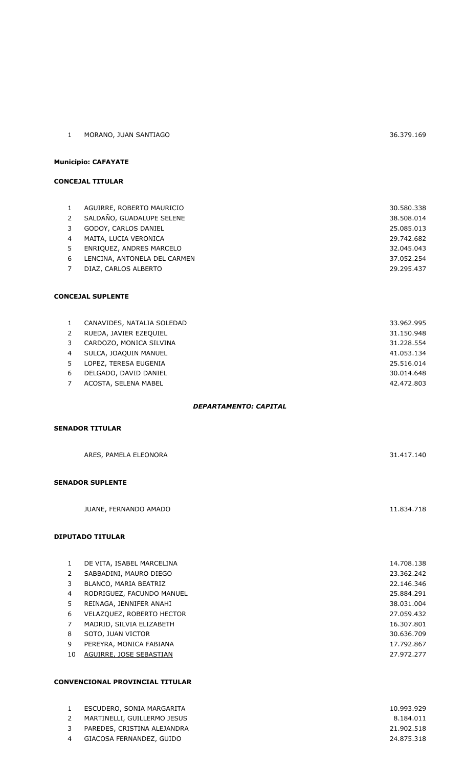| MORANO, JUAN SANTIAGO | 36.379.169 |
|-----------------------|------------|

### **Municipio: CAFAYATE**

#### **CONCEJAL TITULAR**

| $\mathbf{1}$ | AGUIRRE, ROBERTO MAURICIO    | 30.580.338 |
|--------------|------------------------------|------------|
| 2            | SALDAÑO, GUADALUPE SELENE    | 38,508,014 |
| 3            | GODOY, CARLOS DANIEL         | 25.085.013 |
| 4            | MAITA, LUCIA VERONICA        | 29.742.682 |
| 5            | ENRIQUEZ, ANDRES MARCELO     | 32.045.043 |
| 6            | LENCINA, ANTONELA DEL CARMEN | 37.052.254 |
| 7            | DIAZ, CARLOS ALBERTO         | 29.295.437 |
|              |                              |            |

#### **CONCEJAL SUPLENTE**

|                | CANAVIDES, NATALIA SOLEDAD | 33.962.995 |
|----------------|----------------------------|------------|
|                | RUEDA, JAVIER EZEOUIEL     | 31.150.948 |
| 3              | CARDOZO, MONICA SILVINA    | 31.228.554 |
| $\overline{4}$ | SULCA, JOAQUIN MANUEL      | 41.053.134 |
| 5              | LOPEZ, TERESA EUGENIA      | 25.516.014 |
| 6              | DELGADO, DAVID DANIEL      | 30.014.648 |
|                | ACOSTA, SELENA MABEL       | 42.472.803 |

#### *DEPARTAMENTO: CAPITAL*

### **SENADOR TITULAR**

| ARES, PAMELA ELEONORA   | 31.417.140 |
|-------------------------|------------|
| <b>SENADOR SUPLENTE</b> |            |
| JUANE, FERNANDO AMADO   | 11.834.718 |

#### **DIPUTADO TITULAR**

|    | DE VITA, ISABEL MARCELINA        | 14.708.138 |
|----|----------------------------------|------------|
| 2  | SABBADINI, MAURO DIEGO           | 23.362.242 |
| 3  | BLANCO, MARIA BEATRIZ            | 22.146.346 |
| 4  | RODRIGUEZ, FACUNDO MANUEL        | 25.884.291 |
| 5  | REINAGA, JENNIFER ANAHI          | 38.031.004 |
| 6  | <b>VELAZQUEZ, ROBERTO HECTOR</b> | 27.059.432 |
|    | MADRID, SILVIA ELIZABETH         | 16,307,801 |
| 8  | SOTO, JUAN VICTOR                | 30.636.709 |
| 9  | PEREYRA, MONICA FABIANA          | 17.792.867 |
| 10 | AGUIRRE, JOSE SEBASTIAN          | 27.972.277 |
|    |                                  |            |

#### **CONVENCIONAL PROVINCIAL TITULAR**

|               | ESCUDERO, SONIA MARGARITA   | 10.993.929 |
|---------------|-----------------------------|------------|
| $\mathcal{P}$ | MARTINELLI, GUILLERMO JESUS | 8.184.011  |
| 3             | PAREDES, CRISTINA ALEJANDRA | 21.902.518 |
|               | GIACOSA FERNANDEZ, GUIDO    | 24.875.318 |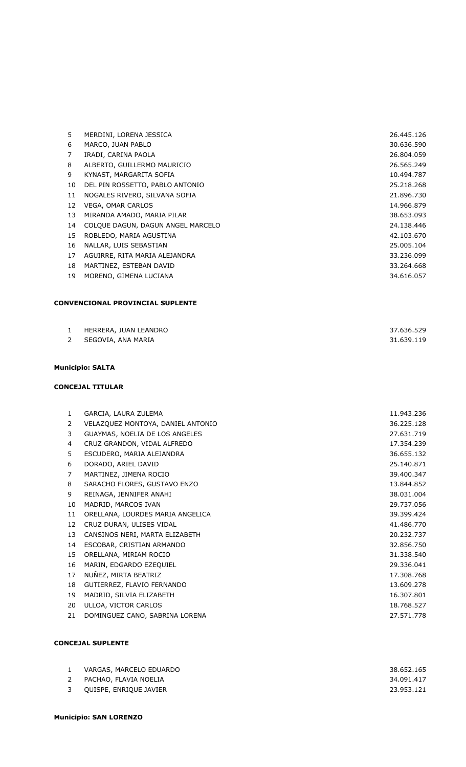| 5  | MERDINI, LORENA JESSICA           | 26.445.126 |
|----|-----------------------------------|------------|
| 6  | MARCO, JUAN PABLO                 | 30.636.590 |
| 7  | IRADI, CARINA PAOLA               | 26.804.059 |
| 8  | ALBERTO, GUILLERMO MAURICIO       | 26.565.249 |
| 9  | KYNAST, MARGARITA SOFIA           | 10.494.787 |
| 10 | DEL PIN ROSSETTO, PABLO ANTONIO   | 25.218.268 |
| 11 | NOGALES RIVERO, SILVANA SOFIA     | 21.896.730 |
| 12 | <b>VEGA, OMAR CARLOS</b>          | 14.966.879 |
| 13 | MIRANDA AMADO, MARIA PILAR        | 38.653.093 |
| 14 | COLQUE DAGUN, DAGUN ANGEL MARCELO | 24.138.446 |
| 15 | ROBLEDO, MARIA AGUSTINA           | 42.103.670 |
| 16 | NALLAR, LUIS SEBASTIAN            | 25.005.104 |
| 17 | AGUIRRE, RITA MARIA ALEJANDRA     | 33.236.099 |
| 18 | MARTINEZ, ESTEBAN DAVID           | 33.264.668 |
| 19 | MORENO, GIMENA LUCIANA            | 34.616.057 |

## **CONVENCIONAL PROVINCIAL SUPLENTE**

|              | HERRERA, JUAN LEANDRO | 37.636.529 |
|--------------|-----------------------|------------|
| $\mathbf{2}$ | SEGOVIA, ANA MARIA    | 31.639.119 |
|              |                       |            |

#### **Municipio: SALTA**

## **CONCEJAL TITULAR**

| 1  | GARCIA, LAURA ZULEMA              | 11.943.236 |
|----|-----------------------------------|------------|
| 2  | VELAZQUEZ MONTOYA, DANIEL ANTONIO | 36.225.128 |
| 3  | GUAYMAS, NOELIA DE LOS ANGELES    | 27.631.719 |
| 4  | CRUZ GRANDON, VIDAL ALFREDO       | 17.354.239 |
| 5  | ESCUDERO, MARIA ALEJANDRA         | 36.655.132 |
| 6  | DORADO, ARIEL DAVID               | 25.140.871 |
| 7  | MARTINEZ, JIMENA ROCIO            | 39.400.347 |
| 8  | SARACHO FLORES, GUSTAVO ENZO      | 13.844.852 |
| 9  | REINAGA, JENNIFER ANAHI           | 38.031.004 |
| 10 | MADRID, MARCOS IVAN               | 29.737.056 |
| 11 | ORELLANA, LOURDES MARIA ANGELICA  | 39.399.424 |
| 12 | CRUZ DURAN, ULISES VIDAL          | 41.486.770 |
| 13 | CANSINOS NERI, MARTA ELIZABETH    | 20.232.737 |
| 14 | ESCOBAR, CRISTIAN ARMANDO         | 32.856.750 |
| 15 | ORELLANA, MIRIAM ROCIO            | 31.338.540 |
| 16 | MARIN, EDGARDO EZEQUIEL           | 29.336.041 |
| 17 | NUÑEZ, MIRTA BEATRIZ              | 17.308.768 |
| 18 | GUTIERREZ, FLAVIO FERNANDO        | 13.609.278 |
| 19 | MADRID, SILVIA ELIZABETH          | 16.307.801 |
| 20 | ULLOA, VICTOR CARLOS              | 18.768.527 |
| 21 | DOMINGUEZ CANO, SABRINA LORENA    | 27.571.778 |
|    |                                   |            |

|   | VARGAS, MARCELO EDUARDO | 38.652.165 |
|---|-------------------------|------------|
| 2 | PACHAO, FLAVIA NOELIA   | 34.091.417 |
| 3 | QUISPE, ENRIQUE JAVIER  | 23.953.121 |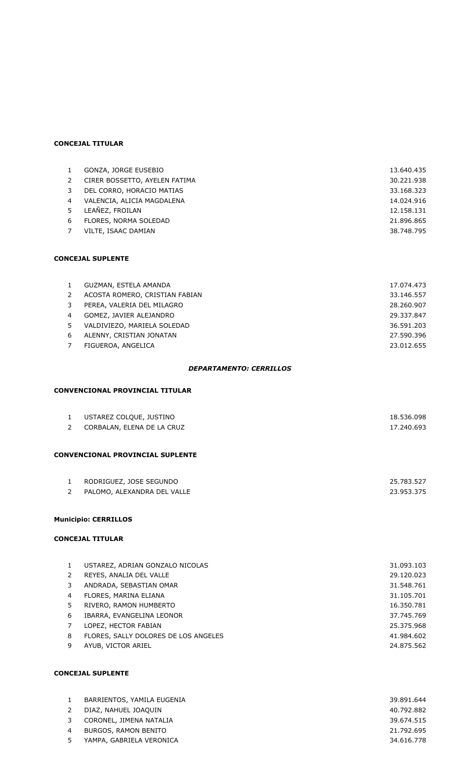### **CONCEJAL TITULAR**

| $\mathbf{1}$   | GONZA, JORGE EUSEBIO          | 13.640.435 |
|----------------|-------------------------------|------------|
| 2              | CIRER BOSSETTO, AYELEN FATIMA | 30.221.938 |
| 3              | DEL CORRO, HORACIO MATIAS     | 33.168.323 |
| $\overline{4}$ | VALENCIA, ALICIA MAGDALENA    | 14.024.916 |
| $5 -$          | LEAÑEZ, FROILAN               | 12.158.131 |
| 6              | FLORES, NORMA SOLEDAD         | 21.896.865 |
| 7              | VILTE, ISAAC DAMIAN           | 38.748.795 |

#### **CONCEJAL SUPLENTE**

| $\mathbf{1}$   | GUZMAN, ESTELA AMANDA          | 17.074.473 |
|----------------|--------------------------------|------------|
| 2              | ACOSTA ROMERO, CRISTIAN FABIAN | 33.146.557 |
| 3              | PEREA, VALERIA DEL MILAGRO     | 28.260.907 |
| $\overline{4}$ | GOMEZ, JAVIER ALEJANDRO        | 29.337.847 |
| 5              | VALDIVIEZO, MARIELA SOLEDAD    | 36.591.203 |
| 6              | ALENNY, CRISTIAN JONATAN       | 27.590.396 |
|                | FIGUEROA, ANGELICA             | 23.012.655 |
|                |                                |            |

#### *DEPARTAMENTO: CERRILLOS*

### **CONVENCIONAL PROVINCIAL TITULAR**

| 1<br>2 | USTAREZ COLQUE, JUSTINO<br>CORBALAN, ELENA DE LA CRUZ | 18.536.098<br>17.240.693 |
|--------|-------------------------------------------------------|--------------------------|
|        | <b>CONVENCIONAL PROVINCIAL SUPLENTE</b>               |                          |
|        |                                                       |                          |
| 1      | RODRIGUEZ, JOSE SEGUNDO                               | 25.783.527               |
| 2      | PALOMO, ALEXANDRA DEL VALLE                           | 23.953.375               |
|        |                                                       |                          |
|        | <b>Municipio: CERRILLOS</b>                           |                          |

## **CONCEJAL TITULAR**

|   | USTAREZ, ADRIAN GONZALO NICOLAS      | 31.093.103 |
|---|--------------------------------------|------------|
|   | REYES, ANALIA DEL VALLE              | 29.120.023 |
|   | ANDRADA, SEBASTIAN OMAR              | 31.548.761 |
| 4 | FLORES, MARINA ELIANA                | 31.105.701 |
| 5 | RIVERO, RAMON HUMBERTO               | 16.350.781 |
| 6 | IBARRA, EVANGELINA LEONOR            | 37.745.769 |
|   | LOPEZ, HECTOR FABIAN                 | 25.375.968 |
| 8 | FLORES, SALLY DOLORES DE LOS ANGELES | 41.984.602 |
| 9 | AYUB, VICTOR ARIEL                   | 24.875.562 |
|   |                                      |            |

|    | BARRIENTOS, YAMILA EUGENIA | 39.891.644 |
|----|----------------------------|------------|
|    | DIAZ, NAHUEL JOAQUIN       | 40.792.882 |
|    | CORONEL, JIMENA NATALIA    | 39.674.515 |
| 4  | BURGOS, RAMON BENITO       | 21.792.695 |
| 5. | YAMPA, GABRIELA VERONICA   | 34.616.778 |
|    |                            |            |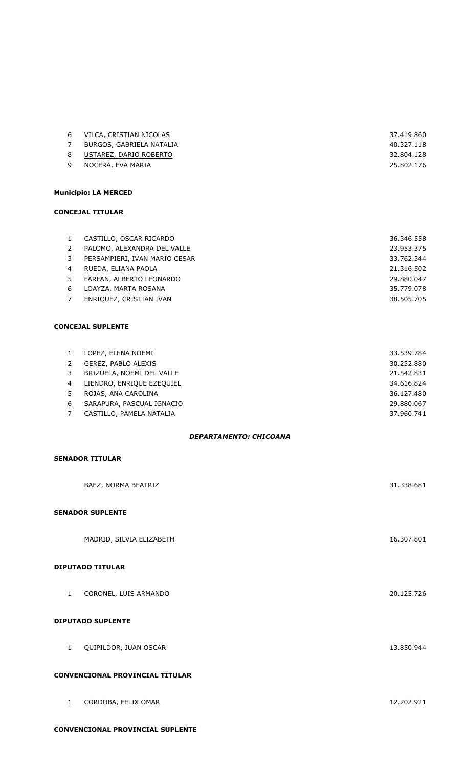| 6 | VILCA, CRISTIAN NICOLAS  | 37.419.860 |
|---|--------------------------|------------|
|   | BURGOS, GABRIELA NATALIA | 40.327.118 |
| 8 | USTAREZ, DARIO ROBERTO   | 32.804.128 |
| 9 | NOCERA, EVA MARIA        | 25.802.176 |
|   |                          |            |

### **Municipio: LA MERCED**

#### **CONCEJAL TITULAR**

| $\mathbf{1}$ | CASTILLO, OSCAR RICARDO       | 36.346.558 |
|--------------|-------------------------------|------------|
| 2            | PALOMO, ALEXANDRA DEL VALLE   | 23.953.375 |
| 3            | PERSAMPIERI, IVAN MARIO CESAR | 33.762.344 |
| 4            | RUEDA, ELIANA PAOLA           | 21.316.502 |
| 5            | FARFAN, ALBERTO LEONARDO      | 29.880.047 |
| 6            | LOAYZA, MARTA ROSANA          | 35.779.078 |
| 7            | ENRIQUEZ, CRISTIAN IVAN       | 38.505.705 |

### **CONCEJAL SUPLENTE**

| $\mathbf{1}$   | LOPEZ, ELENA NOEMI        | 33.539.784 |
|----------------|---------------------------|------------|
| 2              | GEREZ, PABLO ALEXIS       | 30.232.880 |
| 3              | BRIZUELA, NOEMI DEL VALLE | 21.542.831 |
| $\overline{4}$ | LIENDRO, ENRIQUE EZEQUIEL | 34.616.824 |
| 5              | ROJAS, ANA CAROLINA       | 36.127.480 |
| -6             | SARAPURA, PASCUAL IGNACIO | 29,880,067 |
|                | CASTILLO, PAMELA NATALIA  | 37.960.741 |

#### *DEPARTAMENTO: CHICOANA*

### **SENADOR TITULAR**

|                                        | BAEZ, NORMA BEATRIZ      | 31.338.681 |
|----------------------------------------|--------------------------|------------|
|                                        | <b>SENADOR SUPLENTE</b>  |            |
|                                        | MADRID, SILVIA ELIZABETH | 16.307.801 |
|                                        | <b>DIPUTADO TITULAR</b>  |            |
| $\mathbf{1}$                           | CORONEL, LUIS ARMANDO    | 20.125.726 |
| <b>DIPUTADO SUPLENTE</b>               |                          |            |
| $\mathbf{1}$                           | QUIPILDOR, JUAN OSCAR    | 13.850.944 |
| <b>CONVENCIONAL PROVINCIAL TITULAR</b> |                          |            |

| CORDOBA, FELIX OMAR<br>___ | 12.202.921 |
|----------------------------|------------|
|                            |            |

### **CONVENCIONAL PROVINCIAL SUPLENTE**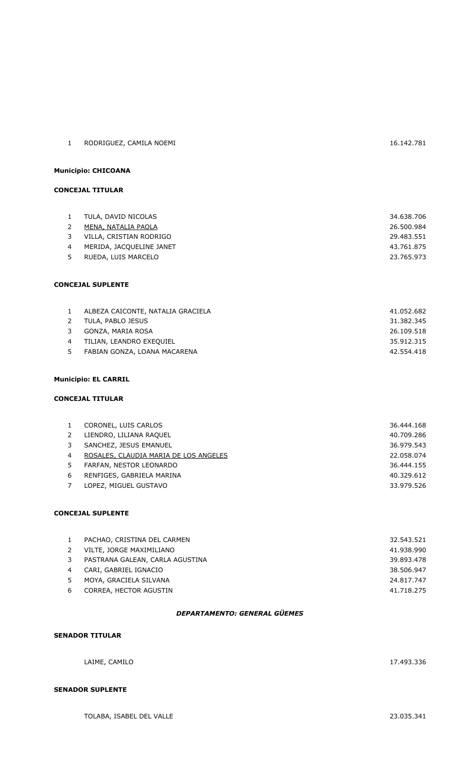| <b>CONCEJAL TITULAR</b>  |                                   |            |
|--------------------------|-----------------------------------|------------|
|                          |                                   |            |
| 1                        | TULA, DAVID NICOLAS               | 34.638.706 |
| 2                        | MENA, NATALIA PAOLA               | 26.500.984 |
| 3                        | VILLA, CRISTIAN RODRIGO           | 29.483.551 |
| 4                        | MERIDA, JACQUELINE JANET          | 43.761.875 |
| 5                        | RUEDA, LUIS MARCELO               | 23.765.973 |
|                          |                                   |            |
| <b>CONCEJAL SUPLENTE</b> |                                   |            |
|                          |                                   |            |
| 1                        | ALBEZA CAICONTE, NATALIA GRACIELA | 41.052.682 |

1 RODRIGUEZ, CAMILA NOEMI 16.142.781

|   | 2 TULA, PABLO JESUS          | 31.382.345 |
|---|------------------------------|------------|
|   | 3 GONZA, MARIA ROSA          | 26.109.518 |
|   | TILIAN, LEANDRO EXEQUIEL     | 35.912.315 |
| 5 | FABIAN GONZA, LOANA MACARENA | 42.554.418 |
|   |                              |            |

## **Municipio: EL CARRIL**

**Municipio: CHICOANA**

## **CONCEJAL TITULAR**

|    | CORONEL, LUIS CARLOS                  | 36.444.168 |
|----|---------------------------------------|------------|
|    | LIENDRO, LILIANA RAQUEL               | 40.709.286 |
|    | SANCHEZ, JESUS EMANUEL                | 36.979.543 |
| 4  | ROSALES, CLAUDIA MARIA DE LOS ANGELES | 22.058.074 |
| 5. | FARFAN, NESTOR LEONARDO               | 36.444.155 |
| 6  | RENFIGES, GABRIELA MARINA             | 40.329.612 |
|    | LOPEZ, MIGUEL GUSTAVO                 | 33.979.526 |

## **CONCEJAL SUPLENTE**

| $\mathbf{1}$ | PACHAO, CRISTINA DEL CARMEN     | 32.543.521 |
|--------------|---------------------------------|------------|
|              | VILTE, JORGE MAXIMILIANO        | 41.938.990 |
| 3            | PASTRANA GALEAN, CARLA AGUSTINA | 39.893.478 |
| 4            | CARI, GABRIEL IGNACIO           | 38.506.947 |
| 5.           | MOYA, GRACIELA SILVANA          | 24.817.747 |
| 6            | CORREA, HECTOR AGUSTIN          | 41.718.275 |
|              |                                 |            |

## *DEPARTAMENTO: GENERAL GÜEMES*

### **SENADOR TITULAR**

LAIME, CAMILO 17.493.336

## **SENADOR SUPLENTE**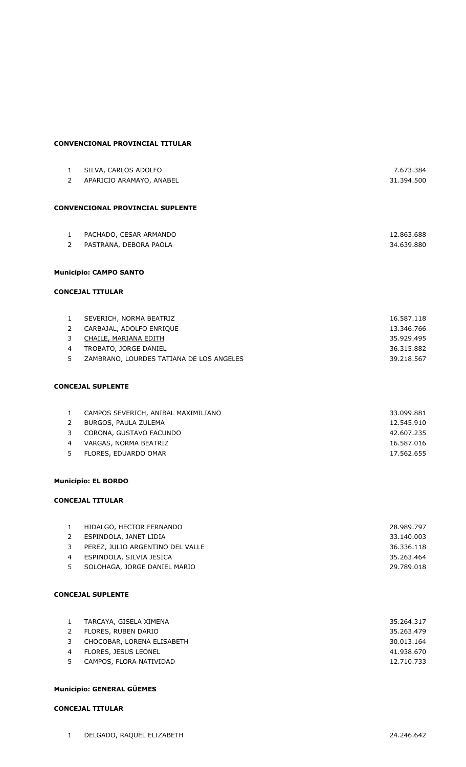#### **CONVENCIONAL PROVINCIAL TITULAR**

| $\mathbf{1}$   | SILVA, CARLOS ADOLFO                     | 7.673.384  |
|----------------|------------------------------------------|------------|
| $2^{\circ}$    | APARICIO ARAMAYO, ANABEL                 | 31.394.500 |
|                |                                          |            |
|                | <b>CONVENCIONAL PROVINCIAL SUPLENTE</b>  |            |
| $\mathbf{1}$   | PACHADO, CESAR ARMANDO                   | 12.863.688 |
| $2^{\circ}$    | PASTRANA, DEBORA PAOLA                   | 34.639.880 |
|                | <b>Municipio: CAMPO SANTO</b>            |            |
|                |                                          |            |
|                | <b>CONCEJAL TITULAR</b>                  |            |
| $\mathbf{1}$   | SEVERICH, NORMA BEATRIZ                  | 16.587.118 |
| $\mathbf{2}$   | CARBAJAL, ADOLFO ENRIQUE                 | 13.346.766 |
| 3              | CHAILE, MARIANA EDITH                    | 35.929.495 |
| $\overline{4}$ | TROBATO, JORGE DANIEL                    | 36.315.882 |
| 5              | ZAMBRANO, LOURDES TATIANA DE LOS ANGELES | 39.218.567 |
|                | <b>CONCEJAL SUPLENTE</b>                 |            |
| $\mathbf{1}$   | CAMPOS SEVERICH, ANIBAL MAXIMILIANO      | 33.099.881 |
| $\overline{2}$ | BURGOS, PAULA ZULEMA                     | 12.545.910 |
| 3              | CORONA, GUSTAVO FACUNDO                  | 42.607.235 |
| $\overline{4}$ | VARGAS, NORMA BEATRIZ                    | 16.587.016 |
| 5              | FLORES, EDUARDO OMAR                     | 17.562.655 |
|                | <b>Municipio: EL BORDO</b>               |            |
|                | <b>CONCEJAL TITULAR</b>                  |            |
| $\mathbf{1}$   | HIDALGO, HECTOR FERNANDO                 | 28.989.797 |
| $\overline{2}$ | ESPINDOLA, JANET LIDIA                   | 33.140.003 |
| 3              | PEREZ, JULIO ARGENTINO DEL VALLE         | 36.336.118 |
| $\overline{4}$ | ESPINDOLA, SILVIA JESICA                 | 35.263.464 |
| 5              | SOLOHAGA, JORGE DANIEL MARIO             | 29.789.018 |
|                |                                          |            |
|                | <b>CONCEJAL SUPLENTE</b>                 |            |
| $\mathbf{1}$   | TARCAYA, GISELA XIMENA                   | 35.264.317 |
| $\mathbf{2}$   | FLORES, RUBEN DARIO                      | 35.263.479 |

 CHOCOBAR, LORENA ELISABETH 30.013.164 4 FLORES, JESUS LEONEL 41.938.670 5 CAMPOS, FLORA NATIVIDAD 12.710.733

### **Municipio: GENERAL GÜEMES**

#### **CONCEJAL TITULAR**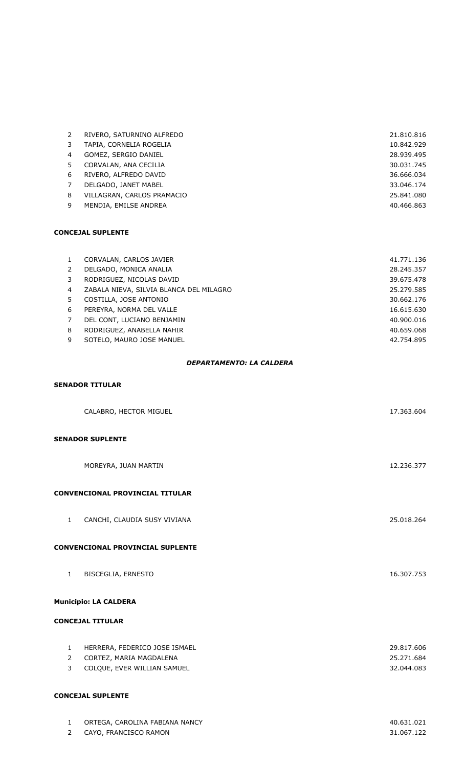|    | RIVERO, SATURNINO ALFREDO  | 21.810.816 |
|----|----------------------------|------------|
| 3  | TAPIA, CORNELIA ROGELIA    | 10.842.929 |
| 4  | GOMEZ, SERGIO DANIEL       | 28.939.495 |
| 5. | CORVALAN, ANA CECILIA      | 30.031.745 |
| 6  | RIVERO, ALFREDO DAVID      | 36.666.034 |
|    | DELGADO, JANET MABEL       | 33.046.174 |
| 8  | VILLAGRAN, CARLOS PRAMACIO | 25.841.080 |
| q  | MENDIA, EMILSE ANDREA      | 40.466.863 |

| CORVALAN, CARLOS JAVIER                 | 41.771.136 |
|-----------------------------------------|------------|
| DELGADO, MONICA ANALIA                  | 28.245.357 |
| RODRIGUEZ, NICOLAS DAVID                | 39.675.478 |
| ZABALA NIEVA, SILVIA BLANCA DEL MILAGRO | 25.279.585 |
| COSTILLA, JOSE ANTONIO                  | 30.662.176 |
| PEREYRA, NORMA DEL VALLE                | 16.615.630 |
| DEL CONT, LUCIANO BENJAMIN              | 40.900.016 |
| RODRIGUEZ, ANABELLA NAHIR               | 40.659.068 |
| SOTELO, MAURO JOSE MANUEL               | 42.754.895 |
|                                         |            |

#### *DEPARTAMENTO: LA CALDERA*

## **SENADOR TITULAR**

|                         | CALABRO, HECTOR MIGUEL                                   | 17.363.604               |  |
|-------------------------|----------------------------------------------------------|--------------------------|--|
|                         | <b>SENADOR SUPLENTE</b>                                  |                          |  |
|                         | MOREYRA, JUAN MARTIN                                     | 12.236.377               |  |
|                         | <b>CONVENCIONAL PROVINCIAL TITULAR</b>                   |                          |  |
| $\mathbf{1}$            | CANCHI, CLAUDIA SUSY VIVIANA                             | 25.018.264               |  |
|                         | <b>CONVENCIONAL PROVINCIAL SUPLENTE</b>                  |                          |  |
| $\mathbf{1}$            | <b>BISCEGLIA, ERNESTO</b>                                | 16.307.753               |  |
|                         | <b>Municipio: LA CALDERA</b>                             |                          |  |
| <b>CONCEJAL TITULAR</b> |                                                          |                          |  |
| $\mathbf{1}$<br>2       | HERRERA, FEDERICO JOSE ISMAEL<br>CORTEZ, MARIA MAGDALENA | 29.817.606<br>25.271.684 |  |
| 3                       | COLQUE, EVER WILLIAN SAMUEL                              | 32.044.083               |  |

| ORTEGA, CAROLINA FABIANA NANCY | 40.631.021 |
|--------------------------------|------------|
| CAYO, FRANCISCO RAMON          | 31.067.122 |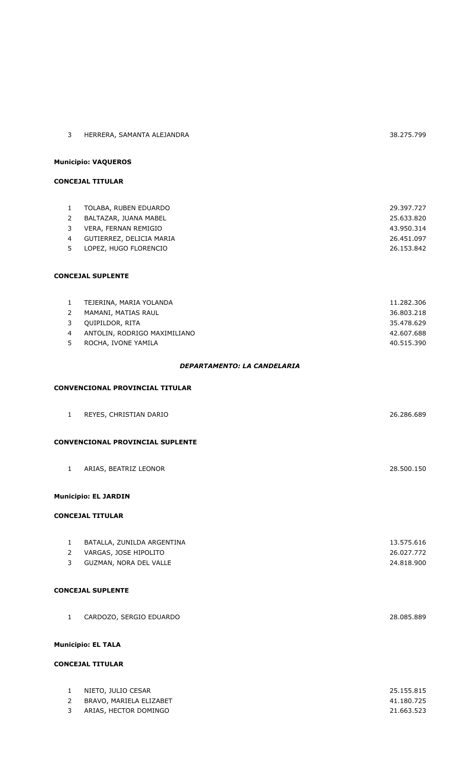| 3              | HERRERA, SAMANTA ALEJANDRA              | 38.275.799 |  |
|----------------|-----------------------------------------|------------|--|
|                | <b>Municipio: VAQUEROS</b>              |            |  |
|                | <b>CONCEJAL TITULAR</b>                 |            |  |
|                |                                         |            |  |
| $\mathbf{1}$   | TOLABA, RUBEN EDUARDO                   | 29.397.727 |  |
| $\overline{2}$ | BALTAZAR, JUANA MABEL                   | 25.633.820 |  |
| 3              | VERA, FERNAN REMIGIO                    | 43.950.314 |  |
| $\overline{4}$ | GUTIERREZ, DELICIA MARIA                | 26.451.097 |  |
| 5              | LOPEZ, HUGO FLORENCIO                   | 26.153.842 |  |
|                | <b>CONCEJAL SUPLENTE</b>                |            |  |
| $\mathbf{1}$   | TEJERINA, MARIA YOLANDA                 | 11.282.306 |  |
| $\overline{2}$ | MAMANI, MATIAS RAUL                     | 36.803.218 |  |
| 3              | QUIPILDOR, RITA                         | 35.478.629 |  |
| 4              | ANTOLIN, RODRIGO MAXIMILIANO            | 42.607.688 |  |
| 5              | ROCHA, IVONE YAMILA                     | 40.515.390 |  |
|                | DEPARTAMENTO: LA CANDELARIA             |            |  |
|                | <b>CONVENCIONAL PROVINCIAL TITULAR</b>  |            |  |
| $\mathbf{1}$   | REYES, CHRISTIAN DARIO                  | 26.286.689 |  |
|                | <b>CONVENCIONAL PROVINCIAL SUPLENTE</b> |            |  |
|                | 1 ARIAS, BEATRIZ LEONOR                 | 28.500.150 |  |
|                | <b>Municipio: EL JARDIN</b>             |            |  |
|                | <b>CONCEJAL TITULAR</b>                 |            |  |
|                |                                         |            |  |
| $\mathbf{1}$   | BATALLA, ZUNILDA ARGENTINA              | 13.575.616 |  |
| $\overline{2}$ | VARGAS, JOSE HIPOLITO                   | 26.027.772 |  |
| 3              | GUZMAN, NORA DEL VALLE                  | 24.818.900 |  |
|                | <b>CONCEJAL SUPLENTE</b>                |            |  |
|                |                                         |            |  |
| $\mathbf{1}$   | CARDOZO, SERGIO EDUARDO                 | 28.085.889 |  |
|                | <b>Municipio: EL TALA</b>               |            |  |
|                | <b>CONCEJAL TITULAR</b>                 |            |  |
|                | NIFTO. JULIO CESAR                      | 25.155.815 |  |
|                |                                         |            |  |

| NIETO, JULIO CESAR      | 25.155.815 |
|-------------------------|------------|
| BRAVO, MARIELA ELIZABET | 41.180.725 |
| ARIAS, HECTOR DOMINGO   | 21.663.523 |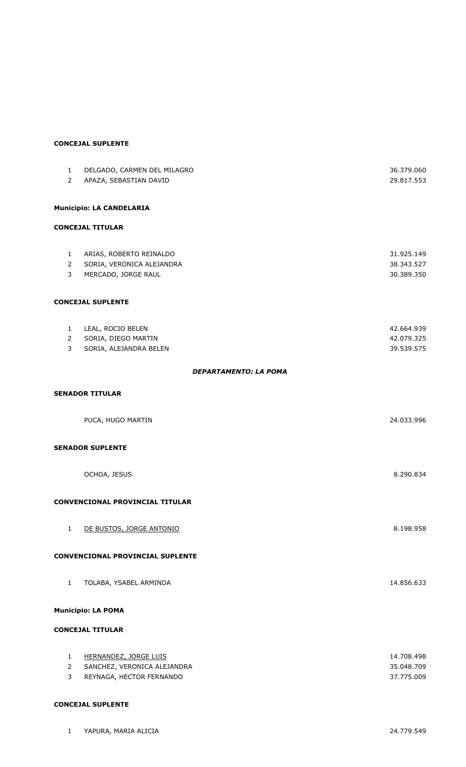| $\mathbf{1}$          | DELGADO, CARMEN DEL MILAGRO      | 36.379.060 |
|-----------------------|----------------------------------|------------|
| $\overline{2}$        | APAZA, SEBASTIAN DAVID           | 29.817.553 |
|                       | <b>Municipio: LA CANDELARIA</b>  |            |
|                       | <b>CONCEJAL TITULAR</b>          |            |
| $\mathbf{1}$          | ARIAS, ROBERTO REINALDO          | 31.925.149 |
| $\overline{2}$        | SORIA, VERONICA ALEJANDRA        | 38.343.527 |
| 3                     | MERCADO, JORGE RAUL              | 30.389.350 |
|                       | <b>CONCEJAL SUPLENTE</b>         |            |
| $\mathbf{1}$          | LEAL, ROCIO BELEN                | 42.664.939 |
| $\overline{2}$        | SORIA, DIEGO MARTIN              | 42.079.325 |
| 3                     | SORIA, ALEJANDRA BELEN           | 39.539.575 |
|                       | <b>DEPARTAMENTO: LA POMA</b>     |            |
|                       | <b>SENADOR TITULAR</b>           |            |
|                       | PUCA, HUGO MARTIN                | 24.033.996 |
|                       | <b>SENADOR SUPLENTE</b>          |            |
|                       | OCHOA, JESUS                     | 8.290.834  |
|                       | CONVENCIONAL PROVINCIAL TITULAR  |            |
| 1                     | DE BUSTOS, JORGE ANTONIO         | 8.198.958  |
|                       | CONVENCIONAL PROVINCIAL SUPLENTE |            |
| $\mathbf{1}$          | TOLABA, YSABEL ARMINDA           | 14.856.633 |
|                       | <b>Municipio: LA POMA</b>        |            |
|                       | <b>CONCEJAL TITULAR</b>          |            |
| $\mathbf{1}$          | <b>HERNANDEZ, JORGE LUIS</b>     | 14.708.498 |
| $\mathbf{2}^{\prime}$ | SANCHEZ, VERONICA ALEJANDRA      | 35.048.709 |
| 3                     | REYNAGA, HECTOR FERNANDO         | 37.775.009 |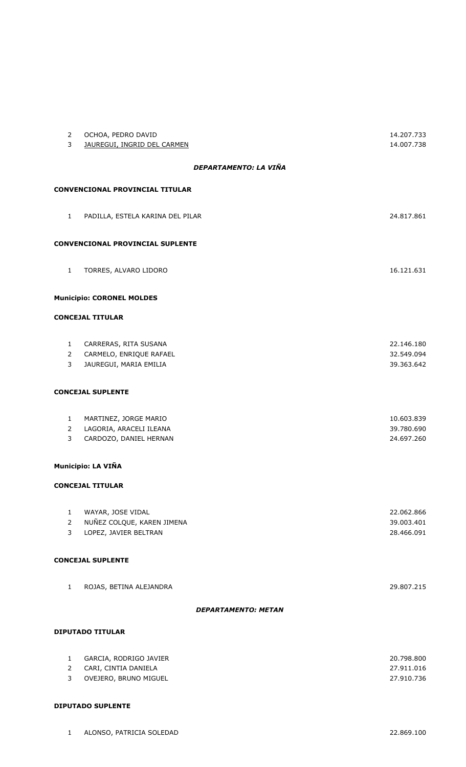| $\mathbf{2}$<br>3              | OCHOA, PEDRO DAVID<br>JAUREGUI, INGRID DEL CARMEN | 14.207.733<br>14.007.738 |
|--------------------------------|---------------------------------------------------|--------------------------|
|                                | DEPARTAMENTO: LA VIÑA                             |                          |
|                                | <b>CONVENCIONAL PROVINCIAL TITULAR</b>            |                          |
|                                |                                                   |                          |
| $\mathbf{1}$                   | PADILLA, ESTELA KARINA DEL PILAR                  | 24.817.861               |
|                                | <b>CONVENCIONAL PROVINCIAL SUPLENTE</b>           |                          |
|                                |                                                   |                          |
| $\mathbf{1}$                   | TORRES, ALVARO LIDORO                             | 16.121.631               |
|                                | <b>Municipio: CORONEL MOLDES</b>                  |                          |
|                                | <b>CONCEJAL TITULAR</b>                           |                          |
|                                |                                                   |                          |
| 1                              | CARRERAS, RITA SUSANA                             | 22.146.180               |
| $\overline{2}$<br>3            | CARMELO, ENRIQUE RAFAEL<br>JAUREGUI, MARIA EMILIA | 32.549.094<br>39.363.642 |
|                                |                                                   |                          |
|                                | <b>CONCEJAL SUPLENTE</b>                          |                          |
|                                |                                                   |                          |
| $\mathbf{1}$<br>$\overline{2}$ | MARTINEZ, JORGE MARIO<br>LAGORIA, ARACELI ILEANA  | 10.603.839<br>39.780.690 |
| 3                              | CARDOZO, DANIEL HERNAN                            | 24.697.260               |
|                                |                                                   |                          |
|                                | Municipio: LA VIÑA                                |                          |
|                                | <b>CONCEJAL TITULAR</b>                           |                          |
| $\mathbf{1}$                   | WAYAR, JOSE VIDAL                                 | 22.062.866               |
| $\overline{2}$                 | NUÑEZ COLQUE, KAREN JIMENA                        | 39.003.401               |
| 3                              | LOPEZ, JAVIER BELTRAN                             | 28.466.091               |
|                                | <b>CONCEJAL SUPLENTE</b>                          |                          |
|                                |                                                   |                          |
| $\mathbf{1}$                   | ROJAS, BETINA ALEJANDRA                           | 29.807.215               |
|                                | <b>DEPARTAMENTO: METAN</b>                        |                          |
|                                |                                                   |                          |
|                                | <b>DIPUTADO TITULAR</b>                           |                          |
| $\mathbf{1}$                   | GARCIA, RODRIGO JAVIER                            | 20.798.800               |
| $\overline{2}$<br>3            | CARI, CINTIA DANIELA<br>OVEJERO, BRUNO MIGUEL     | 27.911.016<br>27.910.736 |
|                                |                                                   |                          |

## **DIPUTADO SUPLENTE**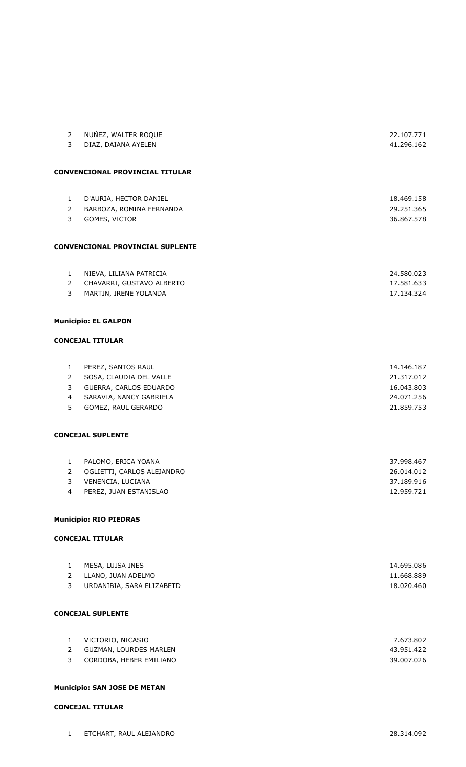| 2              | NUÑEZ, WALTER ROQUE                     | 22.107.771 |
|----------------|-----------------------------------------|------------|
| 3              | DIAZ, DAIANA AYELEN                     | 41.296.162 |
|                |                                         |            |
|                |                                         |            |
|                | <b>CONVENCIONAL PROVINCIAL TITULAR</b>  |            |
|                |                                         |            |
|                |                                         |            |
| $\mathbf{1}$   | D'AURIA, HECTOR DANIEL                  | 18.469.158 |
| 2              | BARBOZA, ROMINA FERNANDA                | 29.251.365 |
| 3              | GOMES, VICTOR                           | 36.867.578 |
|                |                                         |            |
|                |                                         |            |
|                | <b>CONVENCIONAL PROVINCIAL SUPLENTE</b> |            |
|                |                                         |            |
| $\mathbf{1}$   | NIEVA, LILIANA PATRICIA                 | 24.580.023 |
|                |                                         |            |
| $\overline{2}$ | CHAVARRI, GUSTAVO ALBERTO               | 17.581.633 |
| 3              | MARTIN, IRENE YOLANDA                   | 17.134.324 |
|                |                                         |            |
|                | <b>Municipio: EL GALPON</b>             |            |
|                |                                         |            |
|                | <b>CONCEJAL TITULAR</b>                 |            |
|                |                                         |            |
|                |                                         |            |
| $\mathbf{1}$   | PEREZ, SANTOS RAUL                      | 14.146.187 |
| $\overline{2}$ | SOSA, CLAUDIA DEL VALLE                 | 21.317.012 |
| 3              | GUERRA, CARLOS EDUARDO                  | 16.043.803 |
| 4              | SARAVIA, NANCY GABRIELA                 | 24.071.256 |
| 5              | GOMEZ, RAUL GERARDO                     | 21.859.753 |
|                |                                         |            |
|                |                                         |            |
|                | <b>CONCEJAL SUPLENTE</b>                |            |
|                |                                         |            |
| $\mathbf{1}$   | PALOMO, ERICA YOANA                     | 37.998.467 |
| $\overline{2}$ | OGLIETTI, CARLOS ALEJANDRO              | 26.014.012 |
| 3              | VENENCIA, LUCIANA                       | 37.189.916 |
| $\overline{4}$ | PEREZ, JUAN ESTANISLAO                  | 12.959.721 |
|                |                                         |            |
|                |                                         |            |
|                | <b>Municipio: RIO PIEDRAS</b>           |            |
|                |                                         |            |
|                | <b>CONCEJAL TITULAR</b>                 |            |
|                |                                         |            |
| $\mathbf{1}$   | MESA, LUISA INES                        | 14.695.086 |
| $\overline{2}$ | LLANO, JUAN ADELMO                      | 11.668.889 |
| 3              | URDANIBIA, SARA ELIZABETD               | 18.020.460 |
|                |                                         |            |
|                |                                         |            |
|                | <b>CONCEJAL SUPLENTE</b>                |            |
|                |                                         |            |
|                |                                         |            |
| $\mathbf{1}$   | VICTORIO, NICASIO                       | 7.673.802  |
| 2              | <b>GUZMAN, LOURDES MARLEN</b>           | 43.951.422 |
| 3              | CORDOBA, HEBER EMILIANO                 | 39.007.026 |
|                |                                         |            |

### **Municipio: SAN JOSE DE METAN**

## **CONCEJAL TITULAR**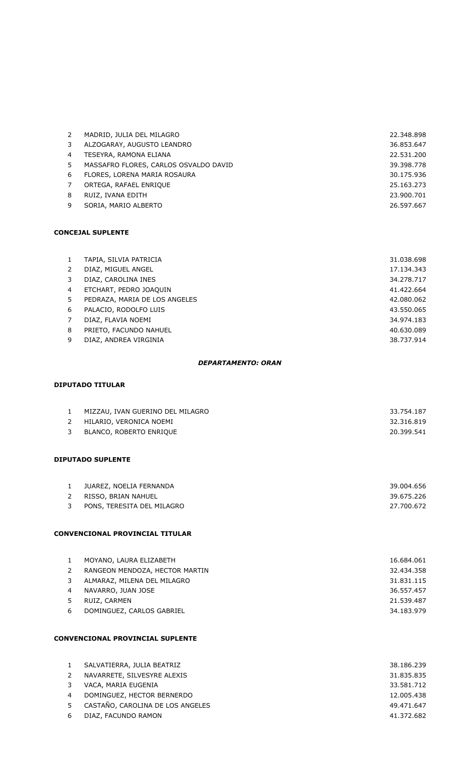| 2 | MADRID, JULIA DEL MILAGRO             | 22,348,898 |
|---|---------------------------------------|------------|
| 3 | ALZOGARAY, AUGUSTO LEANDRO            | 36.853.647 |
| 4 | TESEYRA, RAMONA ELIANA                | 22.531.200 |
| 5 | MASSAFRO FLORES, CARLOS OSVALDO DAVID | 39.398.778 |
| 6 | FLORES, LORENA MARIA ROSAURA          | 30.175.936 |
|   | ORTEGA, RAFAEL ENRIQUE                | 25.163.273 |
| 8 | RUIZ, IVANA EDITH                     | 23.900.701 |
| q | SORIA, MARIO ALBERTO                  | 26.597.667 |
|   |                                       |            |

|   | TAPIA, SILVIA PATRICIA        | 31.038.698 |
|---|-------------------------------|------------|
|   | DIAZ, MIGUEL ANGEL            | 17.134.343 |
| 3 | DIAZ, CAROLINA INES           | 34.278.717 |
| 4 | ETCHART, PEDRO JOAQUIN        | 41.422.664 |
| 5 | PEDRAZA, MARIA DE LOS ANGELES | 42.080.062 |
| 6 | PALACIO, RODOLFO LUIS         | 43.550.065 |
|   | DIAZ, FLAVIA NOEMI            | 34.974.183 |
| 8 | PRIETO, FACUNDO NAHUEL        | 40.630.089 |
| 9 | DIAZ, ANDREA VIRGINIA         | 38.737.914 |
|   |                               |            |

#### *DEPARTAMENTO: ORAN*

## **DIPUTADO TITULAR**

| $\mathbf{1}$<br>$\overline{2}$<br>3                | MIZZAU, IVAN GUERINO DEL MILAGRO<br>HILARIO, VERONICA NOEMI<br>BLANCO, ROBERTO ENRIQUE                                                                      | 33.754.187<br>32.316.819<br>20.399.541                                           |  |
|----------------------------------------------------|-------------------------------------------------------------------------------------------------------------------------------------------------------------|----------------------------------------------------------------------------------|--|
|                                                    | <b>DIPUTADO SUPLENTE</b>                                                                                                                                    |                                                                                  |  |
| $\mathbf{1}$<br>2<br>$\mathbf{3}$                  | JUAREZ, NOELIA FERNANDA<br>RISSO, BRIAN NAHUEL<br>PONS, TERESITA DEL MILAGRO                                                                                | 39.004.656<br>39.675.226<br>27.700.672                                           |  |
|                                                    | <b>CONVENCIONAL PROVINCIAL TITULAR</b>                                                                                                                      |                                                                                  |  |
| $\mathbf{1}$<br>2<br>3<br>$\overline{4}$<br>5<br>6 | MOYANO, LAURA ELIZABETH<br>RANGEON MENDOZA, HECTOR MARTIN<br>ALMARAZ, MILENA DEL MILAGRO<br>NAVARRO, JUAN JOSE<br>RUIZ, CARMEN<br>DOMINGUEZ, CARLOS GABRIEL | 16.684.061<br>32.434.358<br>31.831.115<br>36.557.457<br>21.539.487<br>34.183.979 |  |
| <b>CONVENCIONAL PROVINCIAL SUPLENTE</b>            |                                                                                                                                                             |                                                                                  |  |
| $\mathbf{1}$                                       | SALVATIERRA, JULIA BEATRIZ                                                                                                                                  | 38.186.239                                                                       |  |

|   | $\mathbf{L}$ $\mathbf{U}$ , it is a set of the set of the set of the set of the set of the set of the set of the set of the set of the set of the set of the set of the set of the set of the set of the set of the set of the set of | ---------  |
|---|---------------------------------------------------------------------------------------------------------------------------------------------------------------------------------------------------------------------------------------|------------|
| 2 | NAVARRETE, SILVESYRE ALEXIS                                                                                                                                                                                                           | 31.835.835 |
| 3 | VACA, MARIA EUGENIA                                                                                                                                                                                                                   | 33.581.712 |
| 4 | DOMINGUEZ, HECTOR BERNERDO                                                                                                                                                                                                            | 12.005.438 |
|   | 5 CASTAÑO, CAROLINA DE LOS ANGELES                                                                                                                                                                                                    | 49.471.647 |
| 6 | DIAZ, FACUNDO RAMON                                                                                                                                                                                                                   | 41.372.682 |
|   |                                                                                                                                                                                                                                       |            |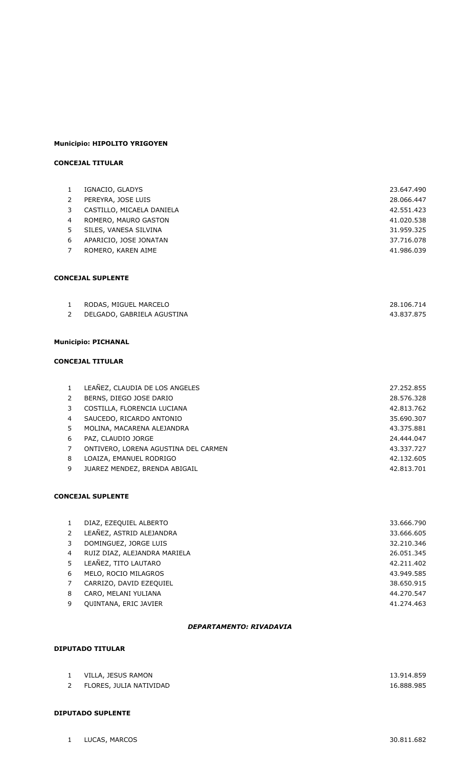### **Municipio: HIPOLITO YRIGOYEN**

## **CONCEJAL TITULAR**

| $\mathbf{1}$   | IGNACIO, GLADYS                      | 23.647.490 |
|----------------|--------------------------------------|------------|
| 2              | PEREYRA, JOSE LUIS                   | 28.066.447 |
| 3              | CASTILLO, MICAELA DANIELA            | 42.551.423 |
| $\overline{4}$ | ROMERO, MAURO GASTON                 | 41.020.538 |
| 5              | SILES, VANESA SILVINA                | 31.959.325 |
| 6              | APARICIO, JOSE JONATAN               | 37.716.078 |
| $\overline{7}$ | ROMERO, KAREN AIME                   | 41.986.039 |
|                | <b>CONCEJAL SUPLENTE</b>             |            |
| $\mathbf{1}$   | RODAS, MIGUEL MARCELO                | 28.106.714 |
| $\overline{2}$ | DELGADO, GABRIELA AGUSTINA           | 43.837.875 |
|                |                                      |            |
|                | <b>Municipio: PICHANAL</b>           |            |
|                | <b>CONCEJAL TITULAR</b>              |            |
| $\mathbf{1}$   | LEAÑEZ, CLAUDIA DE LOS ANGELES       | 27.252.855 |
| 2              | BERNS, DIEGO JOSE DARIO              | 28.576.328 |
| 3              | COSTILLA, FLORENCIA LUCIANA          | 42.813.762 |
| 4              | SAUCEDO, RICARDO ANTONIO             | 35.690.307 |
| 5              | MOLINA, MACARENA ALEJANDRA           | 43.375.881 |
| 6              | PAZ, CLAUDIO JORGE                   | 24.444.047 |
| $\overline{7}$ | ONTIVERO, LORENA AGUSTINA DEL CARMEN | 43.337.727 |
| 8              | LOAIZA, EMANUEL RODRIGO              | 42.132.605 |
| 9              | JUAREZ MENDEZ, BRENDA ABIGAIL        | 42.813.701 |

### **CONCEJAL SUPLENTE**

|    | DIAZ, EZEQUIEL ALBERTO       | 33.666.790 |
|----|------------------------------|------------|
|    | LEAÑEZ, ASTRID ALEJANDRA     | 33.666.605 |
|    | DOMINGUEZ, JORGE LUIS        | 32.210.346 |
| 4  | RUIZ DIAZ, ALEJANDRA MARIELA | 26.051.345 |
| 5. | LEAÑEZ, TITO LAUTARO         | 42.211.402 |
| 6  | MELO, ROCIO MILAGROS         | 43.949.585 |
|    | CARRIZO, DAVID EZEQUIEL      | 38.650.915 |
| 8  | CARO, MELANI YULIANA         | 44.270.547 |
| 9  | <b>OUINTANA, ERIC JAVIER</b> | 41.274.463 |

### *DEPARTAMENTO: RIVADAVIA*

## **DIPUTADO TITULAR**

| VILLA, JESUS RAMON      | 13.914.859 |
|-------------------------|------------|
| FLORES, JULIA NATIVIDAD | 16.888.985 |

#### **DIPUTADO SUPLENTE**

LUCAS, MARCOS 30.811.682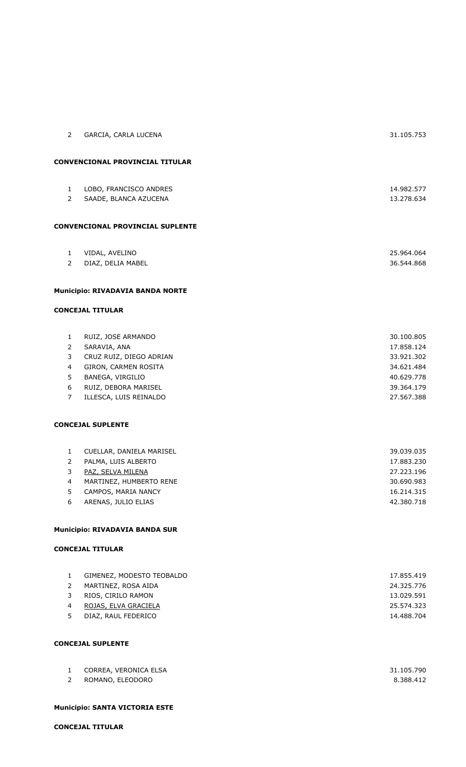| $\mathbf{2}^{\prime}$                                                | GARCIA, CARLA LUCENA                                                                                                                                        | 31.105.753                                                                                     |
|----------------------------------------------------------------------|-------------------------------------------------------------------------------------------------------------------------------------------------------------|------------------------------------------------------------------------------------------------|
|                                                                      | CONVENCIONAL PROVINCIAL TITULAR                                                                                                                             |                                                                                                |
| $\mathbf{1}$<br>$\mathbf{2}^{\prime}$                                | LOBO, FRANCISCO ANDRES<br>SAADE, BLANCA AZUCENA                                                                                                             | 14.982.577<br>13.278.634                                                                       |
|                                                                      | CONVENCIONAL PROVINCIAL SUPLENTE                                                                                                                            |                                                                                                |
| $\mathbf{1}$                                                         | VIDAL, AVELINO                                                                                                                                              | 25.964.064                                                                                     |
| $\overline{2}$                                                       | DIAZ, DELIA MABEL                                                                                                                                           | 36.544.868                                                                                     |
|                                                                      | Municipio: RIVADAVIA BANDA NORTE                                                                                                                            |                                                                                                |
|                                                                      | <b>CONCEJAL TITULAR</b>                                                                                                                                     |                                                                                                |
| $\mathbf{1}$<br>$\overline{2}$<br>3<br>4<br>5<br>6<br>$\overline{7}$ | RUIZ, JOSE ARMANDO<br>SARAVIA, ANA<br>CRUZ RUIZ, DIEGO ADRIAN<br>GIRON, CARMEN ROSITA<br>BANEGA, VIRGILIO<br>RUIZ, DEBORA MARISEL<br>ILLESCA, LUIS REINALDO | 30.100.805<br>17.858.124<br>33.921.302<br>34.621.484<br>40.629.778<br>39.364.179<br>27.567.388 |
|                                                                      | <b>CONCEJAL SUPLENTE</b>                                                                                                                                    |                                                                                                |
| $\mathbf{1}$<br>$\overline{2}$<br>3<br>4<br>5<br>6                   | CUELLAR, DANIELA MARISEL<br>PALMA, LUIS ALBERTO<br>PAZ, SELVA MILENA<br>MARTINEZ, HUMBERTO RENE<br>CAMPOS, MARIA NANCY<br>ARENAS, JULIO ELIAS               | 39.039.035<br>17.883.230<br>27.223.196<br>30.690.983<br>16.214.315<br>42.380.718               |
|                                                                      | <b>Municipio: RIVADAVIA BANDA SUR</b>                                                                                                                       |                                                                                                |
|                                                                      | <b>CONCEJAL TITULAR</b>                                                                                                                                     |                                                                                                |
| $\mathbf{1}$<br>$\overline{2}$<br>3<br>4<br>5                        | GIMENEZ, MODESTO TEOBALDO<br>MARTINEZ, ROSA AIDA<br>RIOS, CIRILO RAMON<br>ROJAS, ELVA GRACIELA<br>DIAZ, RAUL FEDERICO                                       | 17.855.419<br>24.325.776<br>13.029.591<br>25.574.323<br>14.488.704                             |

| <u>д.</u> | CORREA, VERONICA ELSA | 31.105.790 |
|-----------|-----------------------|------------|
|           | ROMANO, ELEODORO      | 8.388.412  |

## **Municipio: SANTA VICTORIA ESTE**

**CONCEJAL TITULAR**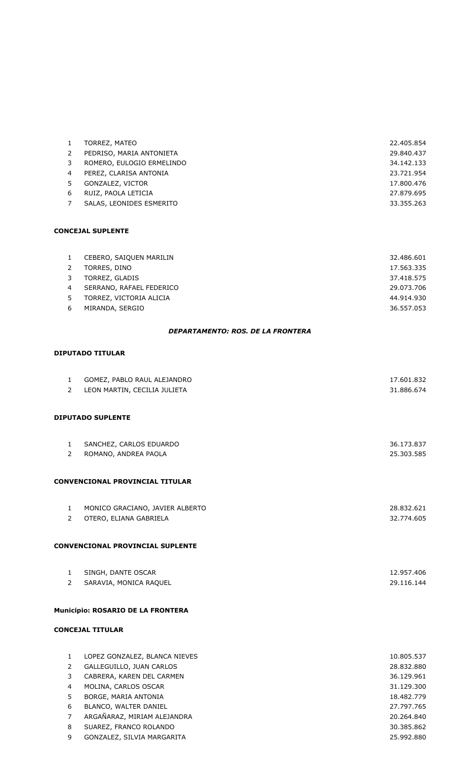|   | TORREZ, MATEO             | 22.405.854 |
|---|---------------------------|------------|
|   | PEDRISO, MARIA ANTONIETA  | 29.840.437 |
|   | ROMERO, EULOGIO ERMELINDO | 34.142.133 |
| 4 | PEREZ, CLARISA ANTONIA    | 23.721.954 |
|   | GONZALEZ, VICTOR          | 17,800,476 |
| 6 | RUIZ, PAOLA LETICIA       | 27.879.695 |
|   | SALAS, LEONIDES ESMERITO  | 33.355.263 |
|   |                           |            |

|   | CEBERO, SAIQUEN MARILIN  | 32.486.601 |
|---|--------------------------|------------|
|   | TORRES, DINO             | 17.563.335 |
|   | TORREZ, GLADIS           | 37.418.575 |
| 4 | SERRANO, RAFAEL FEDERICO | 29.073.706 |
|   | TORREZ, VICTORIA ALICIA  | 44.914.930 |
| 6 | MIRANDA, SERGIO          | 36.557.053 |

### *DEPARTAMENTO: ROS. DE LA FRONTERA*

### **DIPUTADO TITULAR**

| $\mathbf{1}$   | GOMEZ, PABLO RAUL ALEJANDRO       | 17.601.832 |
|----------------|-----------------------------------|------------|
| $\overline{2}$ | LEON MARTIN, CECILIA JULIETA      | 31.886.674 |
|                |                                   |            |
|                | <b>DIPUTADO SUPLENTE</b>          |            |
|                |                                   |            |
| $\mathbf{1}$   | SANCHEZ, CARLOS EDUARDO           | 36.173.837 |
| $\overline{2}$ | ROMANO, ANDREA PAOLA              | 25.303.585 |
|                | CONVENCIONAL PROVINCIAL TITULAR   |            |
|                |                                   |            |
| $\mathbf{1}$   | MONICO GRACIANO, JAVIER ALBERTO   | 28.832.621 |
| $\overline{2}$ | OTERO, ELIANA GABRIELA            | 32.774.605 |
|                |                                   |            |
|                | CONVENCIONAL PROVINCIAL SUPLENTE  |            |
| $\mathbf{1}$   | SINGH, DANTE OSCAR                | 12.957.406 |
| $\overline{2}$ | SARAVIA, MONICA RAQUEL            | 29.116.144 |
|                | Municipio: ROSARIO DE LA FRONTERA |            |
|                | <b>CONCEJAL TITULAR</b>           |            |
|                |                                   |            |
| $\mathbf{1}$   | LOPEZ GONZALEZ, BLANCA NIEVES     | 10.805.537 |
| $\overline{2}$ | GALLEGUILLO, JUAN CARLOS          | 28.832.880 |
| 3              | CABRERA, KAREN DEL CARMEN         | 36.129.961 |
| 4              | MOLINA, CARLOS OSCAR              | 31.129.300 |
| 5              | BORGE, MARIA ANTONIA              | 18.482.779 |
| 6              | BLANCO, WALTER DANIEL             | 27.797.765 |
| $\overline{7}$ | ARGAÑARAZ, MIRIAM ALEJANDRA       | 20.264.840 |
| 8              | SUAREZ, FRANCO ROLANDO            | 30.385.862 |

GONZALEZ, SILVIA MARGARITA 25.992.880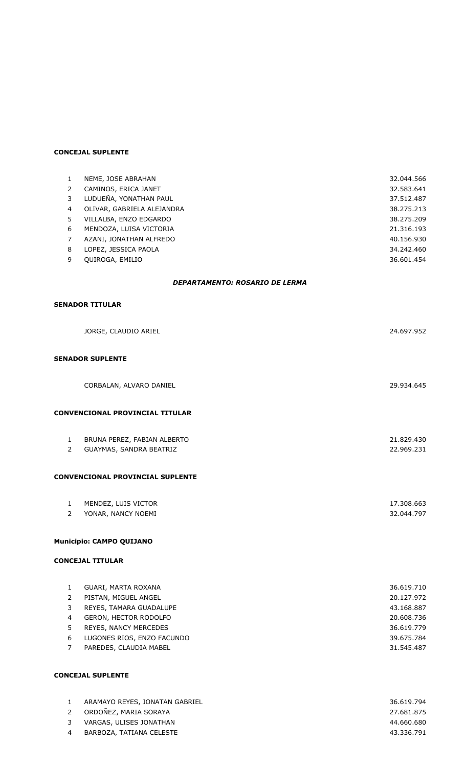| 1                              | NEME, JOSE ABRAHAN                      | 32.044.566 |
|--------------------------------|-----------------------------------------|------------|
| $\overline{2}$                 | CAMINOS, ERICA JANET                    | 32.583.641 |
| 3                              | LUDUEÑA, YONATHAN PAUL                  | 37.512.487 |
| 4                              | OLIVAR, GABRIELA ALEJANDRA              | 38.275.213 |
| 5                              | VILLALBA, ENZO EDGARDO                  | 38.275.209 |
| 6                              | MENDOZA, LUISA VICTORIA                 | 21.316.193 |
| $\overline{7}$                 | AZANI, JONATHAN ALFREDO                 | 40.156.930 |
| 8                              | LOPEZ, JESSICA PAOLA                    | 34.242.460 |
| 9                              | QUIROGA, EMILIO                         | 36.601.454 |
|                                | DEPARTAMENTO: ROSARIO DE LERMA          |            |
|                                | <b>SENADOR TITULAR</b>                  |            |
|                                |                                         |            |
|                                | JORGE, CLAUDIO ARIEL                    | 24.697.952 |
|                                | <b>SENADOR SUPLENTE</b>                 |            |
|                                |                                         |            |
|                                | CORBALAN, ALVARO DANIEL                 | 29.934.645 |
|                                |                                         |            |
|                                | <b>CONVENCIONAL PROVINCIAL TITULAR</b>  |            |
|                                |                                         |            |
| $\mathbf{1}$<br>$\overline{2}$ | BRUNA PEREZ, FABIAN ALBERTO             | 21.829.430 |
|                                | GUAYMAS, SANDRA BEATRIZ                 | 22.969.231 |
|                                | <b>CONVENCIONAL PROVINCIAL SUPLENTE</b> |            |
|                                |                                         |            |
| $\mathbf{1}$                   | MENDEZ, LUIS VICTOR                     | 17.308.663 |
| $\mathbf{2}$                   | YONAR, NANCY NOEMI                      | 32.044.797 |
|                                |                                         |            |
|                                | Municipio: CAMPO QUIJANO                |            |
|                                | <b>CONCEJAL TITULAR</b>                 |            |
|                                |                                         |            |
| $\mathbf{1}$                   | GUARI, MARTA ROXANA                     | 36.619.710 |
| $\overline{2}$                 | PISTAN, MIGUEL ANGEL                    | 20.127.972 |
| 3                              | REYES, TAMARA GUADALUPE                 | 43.168.887 |
| 4                              | GERON, HECTOR RODOLFO                   | 20.608.736 |
| 5                              | REYES, NANCY MERCEDES                   | 36.619.779 |
| 6                              | LUGONES RIOS, ENZO FACUNDO              | 39.675.784 |
| $\overline{7}$                 | PAREDES, CLAUDIA MABEL                  | 31.545.487 |
|                                |                                         |            |
|                                | <b>CONCEJAL SUPLENTE</b>                |            |

| ARAMAYO REYES, JONATAN GABRIEL | 36.619.794 |
|--------------------------------|------------|
| 2 ORDOÑEZ, MARIA SORAYA        | 27.681.875 |
| 3 VARGAS, ULISES JONATHAN      | 44.660.680 |
| 4 BARBOZA, TATIANA CELESTE     | 43.336.791 |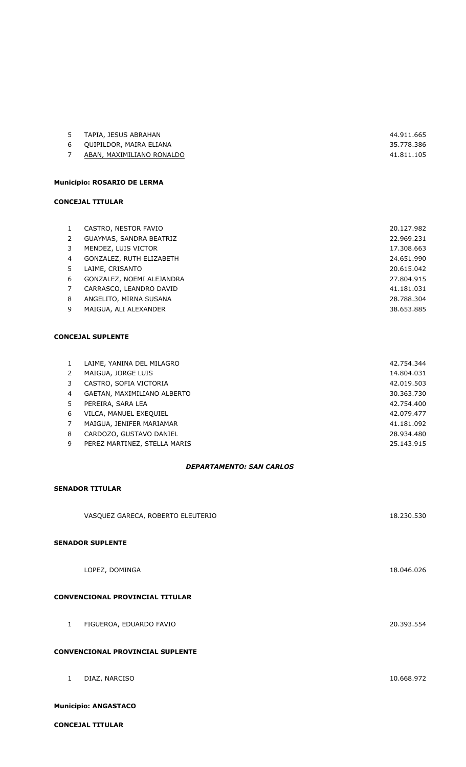| 5 | TAPIA, JESUS ABRAHAN      | 44.911.665 |
|---|---------------------------|------------|
|   | 6 OUIPILDOR, MAIRA ELIANA | 35.778.386 |
|   | ABAN, MAXIMILIANO RONALDO | 41.811.105 |

## **Municipio: ROSARIO DE LERMA**

#### **CONCEJAL TITULAR**

| 1  | CASTRO, NESTOR FAVIO      | 20.127.982 |
|----|---------------------------|------------|
| 2  | GUAYMAS, SANDRA BEATRIZ   | 22.969.231 |
| 3  | MENDEZ, LUIS VICTOR       | 17,308,663 |
| 4  | GONZALEZ, RUTH ELIZABETH  | 24.651.990 |
| 5. | LAIME, CRISANTO           | 20.615.042 |
| 6  | GONZALEZ, NOEMI ALEJANDRA | 27.804.915 |
| 7  | CARRASCO, LEANDRO DAVID   | 41.181.031 |
| 8  | ANGELITO, MIRNA SUSANA    | 28,788,304 |
| 9  | MAIGUA, ALI ALEXANDER     | 38.653.885 |

### **CONCEJAL SUPLENTE**

| $\mathbf{1}$  | LAIME, YANINA DEL MILAGRO    | 42.754.344 |
|---------------|------------------------------|------------|
| $\mathcal{P}$ | MAIGUA, JORGE LUIS           | 14.804.031 |
| 3             | CASTRO, SOFIA VICTORIA       | 42.019.503 |
| 4             | GAETAN, MAXIMILIANO ALBERTO  | 30.363.730 |
| 5.            | PEREIRA, SARA LEA            | 42.754.400 |
| 6             | VILCA, MANUEL EXEQUIEL       | 42.079.477 |
| 7             | MAIGUA, JENIFER MARIAMAR     | 41.181.092 |
| 8             | CARDOZO, GUSTAVO DANIEL      | 28.934.480 |
| 9             | PEREZ MARTINEZ, STELLA MARIS | 25.143.915 |
|               |                              |            |

## *DEPARTAMENTO: SAN CARLOS*

### **SENADOR TITULAR**

|                                         | VASQUEZ GARECA, ROBERTO ELEUTERIO      | 18.230.530 |  |
|-----------------------------------------|----------------------------------------|------------|--|
|                                         | <b>SENADOR SUPLENTE</b>                |            |  |
|                                         | LOPEZ, DOMINGA                         | 18.046.026 |  |
|                                         | <b>CONVENCIONAL PROVINCIAL TITULAR</b> |            |  |
| $\mathbf{1}$                            | FIGUEROA, EDUARDO FAVIO                | 20.393.554 |  |
| <b>CONVENCIONAL PROVINCIAL SUPLENTE</b> |                                        |            |  |
| $\mathbf{1}$                            | DIAZ, NARCISO                          | 10.668.972 |  |

### **Municipio: ANGASTACO**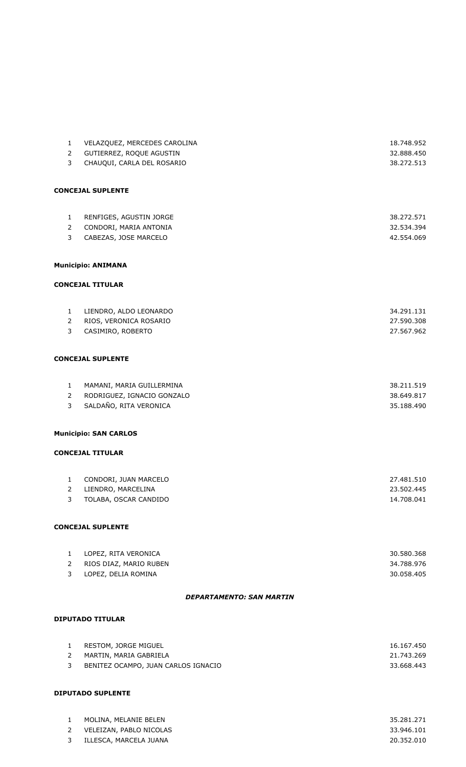| $\mathbf{1}$                   | VELAZQUEZ, MERCEDES CAROLINA                      | 18.748.952               |
|--------------------------------|---------------------------------------------------|--------------------------|
| $\overline{2}$                 | GUTIERREZ, ROQUE AGUSTIN                          | 32.888.450               |
| 3                              | CHAUQUI, CARLA DEL ROSARIO                        | 38.272.513               |
|                                |                                                   |                          |
|                                | <b>CONCEJAL SUPLENTE</b>                          |                          |
|                                |                                                   |                          |
|                                |                                                   |                          |
| $\mathbf{1}$<br>$\overline{2}$ | RENFIGES, AGUSTIN JORGE<br>CONDORI, MARIA ANTONIA | 38.272.571<br>32.534.394 |
| 3                              | CABEZAS, JOSE MARCELO                             | 42.554.069               |
|                                |                                                   |                          |
|                                |                                                   |                          |
|                                | <b>Municipio: ANIMANA</b>                         |                          |
|                                | <b>CONCEJAL TITULAR</b>                           |                          |
|                                |                                                   |                          |
| $\mathbf{1}$                   | LIENDRO, ALDO LEONARDO                            | 34.291.131               |
| $2^{\circ}$                    | RIOS, VERONICA ROSARIO                            | 27.590.308               |
| 3                              | CASIMIRO, ROBERTO                                 | 27.567.962               |
|                                |                                                   |                          |
|                                | <b>CONCEJAL SUPLENTE</b>                          |                          |
|                                |                                                   |                          |
| $\mathbf{1}$                   | MAMANI, MARIA GUILLERMINA                         | 38.211.519               |
| $\overline{2}$                 | RODRIGUEZ, IGNACIO GONZALO                        | 38.649.817               |
| $\mathbf{3}$                   | SALDAÑO, RITA VERONICA                            | 35.188.490               |
|                                |                                                   |                          |
|                                | <b>Municipio: SAN CARLOS</b>                      |                          |
|                                |                                                   |                          |
|                                | <b>CONCEJAL TITULAR</b>                           |                          |
|                                |                                                   |                          |
|                                | 1 CONDORI, JUAN MARCELO                           | 27.481.510               |
| $\overline{2}$                 | LIENDRO, MARCELINA                                | 23.502.445               |
| 3                              | TOLABA, OSCAR CANDIDO                             | 14.708.041               |
|                                |                                                   |                          |
|                                | <b>CONCEJAL SUPLENTE</b>                          |                          |
|                                |                                                   |                          |
| $\mathbf{1}$                   | LOPEZ, RITA VERONICA                              | 30.580.368               |
| $\overline{2}$<br>3            | RIOS DIAZ, MARIO RUBEN<br>LOPEZ, DELIA ROMINA     | 34.788.976               |
|                                |                                                   | 30.058.405               |
|                                | <b>DEPARTAMENTO: SAN MARTIN</b>                   |                          |
|                                |                                                   |                          |
|                                | <b>DIPUTADO TITULAR</b>                           |                          |
|                                |                                                   |                          |
| $\mathbf{1}$                   | RESTOM, JORGE MIGUEL<br>MARTIN, MARIA GABRIELA    | 16.167.450<br>21.743.269 |
| $\overline{2}$<br>3            | BENITEZ OCAMPO, JUAN CARLOS IGNACIO               | 33.668.443               |
|                                |                                                   |                          |
|                                |                                                   |                          |
|                                | <b>DIPUTADO SUPLENTE</b>                          |                          |

## MOLINA, MELANIE BELEN 35.281.271 VELEIZAN, PABLO NICOLAS 33.946.101 ILLESCA, MARCELA JUANA 20.352.010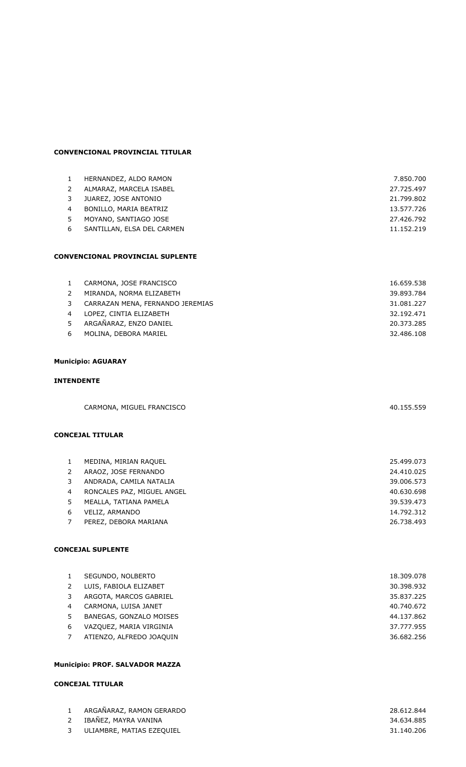## **CONVENCIONAL PROVINCIAL TITULAR**

| 1            | HERNANDEZ, ALDO RAMON                   | 7.850.700  |
|--------------|-----------------------------------------|------------|
| 2            | ALMARAZ, MARCELA ISABEL                 | 27.725.497 |
| 3            | JUAREZ, JOSE ANTONIO                    | 21.799.802 |
| 4            | BONILLO, MARIA BEATRIZ                  | 13.577.726 |
| 5            | MOYANO, SANTIAGO JOSE                   | 27.426.792 |
| 6            | SANTILLAN, ELSA DEL CARMEN              | 11.152.219 |
|              |                                         |            |
|              |                                         |            |
|              | <b>CONVENCIONAL PROVINCIAL SUPLENTE</b> |            |
|              |                                         |            |
| $\mathbf{1}$ | CARMONA, JOSE FRANCISCO                 | 16.659.538 |
| 2            | MIRANDA, NORMA ELIZABETH                | 39.893.784 |
| 3            | CARRAZAN MENA, FERNANDO JEREMIAS        | 31.081.227 |
| 4            | LOPEZ, CINTIA ELIZABETH                 | 32.192.471 |
| 5            | ARGAÑARAZ, ENZO DANIEL                  | 20.373.285 |
| 6            | MOLINA, DEBORA MARIEL                   | 32.486.108 |
|              |                                         |            |
|              |                                         |            |

## **Municipio: AGUARAY**

#### **INTENDENTE**

| CARMONA, MIGUEL FRANCISCO | 40.155.559 |
|---------------------------|------------|
|                           |            |

### **CONCEJAL TITULAR**

|               | MEDINA, MIRIAN RAOUEL      | 25.499.073 |
|---------------|----------------------------|------------|
| $\mathcal{P}$ | ARAOZ, JOSE FERNANDO       | 24.410.025 |
| 3             | ANDRADA, CAMILA NATALIA    | 39,006.573 |
| 4             | RONCALES PAZ, MIGUEL ANGEL | 40.630.698 |
| .5.           | MEALLA, TATIANA PAMELA     | 39.539.473 |
| 6             | VELIZ, ARMANDO             | 14.792.312 |
|               | PEREZ, DEBORA MARIANA      | 26.738.493 |

### **CONCEJAL SUPLENTE**

|   | SEGUNDO, NOLBERTO        | 18,309,078 |
|---|--------------------------|------------|
|   | LUIS, FABIOLA ELIZABET   | 30.398.932 |
|   | ARGOTA, MARCOS GABRIEL   | 35.837.225 |
| 4 | CARMONA, LUISA JANET     | 40.740.672 |
|   | BANEGAS, GONZALO MOISES  | 44.137.862 |
| 6 | VAZQUEZ, MARIA VIRGINIA  | 37.777.955 |
|   | ATIENZO, ALFREDO JOAQUIN | 36.682.256 |
|   |                          |            |

## **Municipio: PROF. SALVADOR MAZZA**

### **CONCEJAL TITULAR**

| ARGAÑARAZ, RAMON GERARDO    | 28.612.844 |
|-----------------------------|------------|
| 2 IBAÑEZ, MAYRA VANINA      | 34.634.885 |
| 3 ULIAMBRE, MATIAS EZEOUIEL | 31.140.206 |